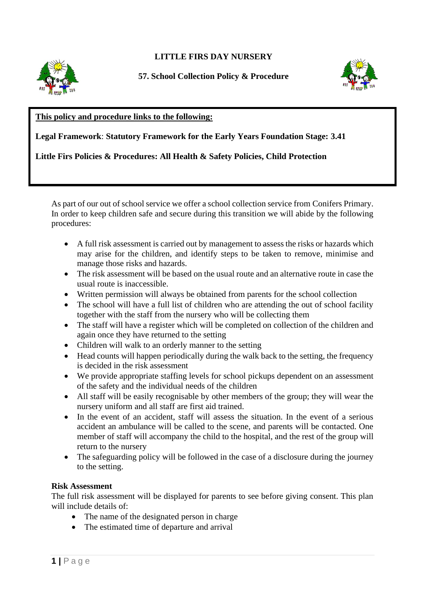# **LITTLE FIRS DAY NURSERY**



**57. School Collection Policy & Procedure**



## **This policy and procedure links to the following:**

**Legal Framework**: **Statutory Framework for the Early Years Foundation Stage: 3.41**

## **Little Firs Policies & Procedures: All Health & Safety Policies, Child Protection**

As part of our out of school service we offer a school collection service from Conifers Primary. In order to keep children safe and secure during this transition we will abide by the following procedures:

- A full risk assessment is carried out by management to assess the risks or hazards which may arise for the children, and identify steps to be taken to remove, minimise and manage those risks and hazards.
- The risk assessment will be based on the usual route and an alternative route in case the usual route is inaccessible.
- Written permission will always be obtained from parents for the school collection
- The school will have a full list of children who are attending the out of school facility together with the staff from the nursery who will be collecting them
- The staff will have a register which will be completed on collection of the children and again once they have returned to the setting
- Children will walk to an orderly manner to the setting
- Head counts will happen periodically during the walk back to the setting, the frequency is decided in the risk assessment
- We provide appropriate staffing levels for school pickups dependent on an assessment of the safety and the individual needs of the children
- All staff will be easily recognisable by other members of the group; they will wear the nursery uniform and all staff are first aid trained.
- In the event of an accident, staff will assess the situation. In the event of a serious accident an ambulance will be called to the scene, and parents will be contacted. One member of staff will accompany the child to the hospital, and the rest of the group will return to the nursery
- The safeguarding policy will be followed in the case of a disclosure during the journey to the setting.

### **Risk Assessment**

The full risk assessment will be displayed for parents to see before giving consent. This plan will include details of:

- The name of the designated person in charge
- The estimated time of departure and arrival